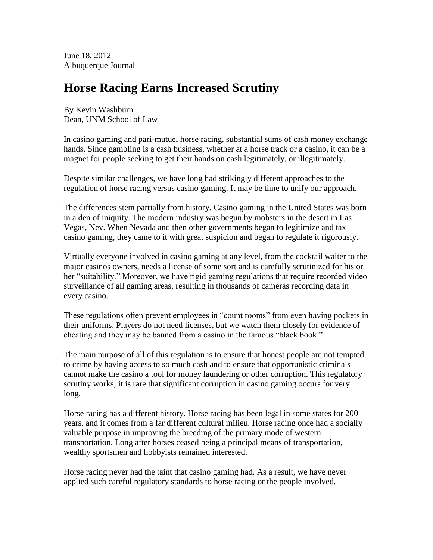June 18, 2012 Albuquerque Journal

## **Horse Racing Earns Increased Scrutiny**

By Kevin Washburn Dean, UNM School of Law

In casino gaming and pari-mutuel horse racing, substantial sums of cash money exchange hands. Since gambling is a cash business, whether at a horse track or a casino, it can be a magnet for people seeking to get their hands on cash legitimately, or illegitimately.

Despite similar challenges, we have long had strikingly different approaches to the regulation of horse racing versus casino gaming. It may be time to unify our approach.

The differences stem partially from history. Casino gaming in the United States was born in a den of iniquity. The modern industry was begun by mobsters in the desert in Las Vegas, Nev. When Nevada and then other governments began to legitimize and tax casino gaming, they came to it with great suspicion and began to regulate it rigorously.

Virtually everyone involved in casino gaming at any level, from the cocktail waiter to the major casinos owners, needs a license of some sort and is carefully scrutinized for his or her "suitability." Moreover, we have rigid gaming regulations that require recorded video surveillance of all gaming areas, resulting in thousands of cameras recording data in every casino.

These regulations often prevent employees in "count rooms" from even having pockets in their uniforms. Players do not need licenses, but we watch them closely for evidence of cheating and they may be banned from a casino in the famous "black book."

The main purpose of all of this regulation is to ensure that honest people are not tempted to crime by having access to so much cash and to ensure that opportunistic criminals cannot make the casino a tool for money laundering or other corruption. This regulatory scrutiny works; it is rare that significant corruption in casino gaming occurs for very long.

Horse racing has a different history. Horse racing has been legal in some states for 200 years, and it comes from a far different cultural milieu. Horse racing once had a socially valuable purpose in improving the breeding of the primary mode of western transportation. Long after horses ceased being a principal means of transportation, wealthy sportsmen and hobbyists remained interested.

Horse racing never had the taint that casino gaming had. As a result, we have never applied such careful regulatory standards to horse racing or the people involved.